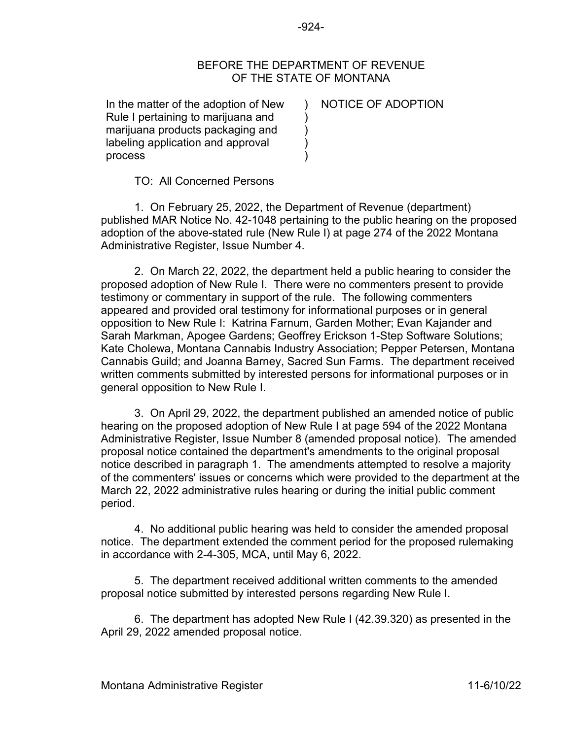## BEFORE THE DEPARTMENT OF REVENUE OF THE STATE OF MONTANA

In the matter of the adoption of New ) NOTICE OF ADOPTION Rule I pertaining to marijuana and  $\qquad)$ marijuana products packaging and ) labeling application and approval process )

TO: All Concerned Persons

1. On February 25, 2022, the Department of Revenue (department) published MAR Notice No. 42-1048 pertaining to the public hearing on the proposed adoption of the above-stated rule (New Rule I) at page 274 of the 2022 Montana Administrative Register, Issue Number 4.

2. On March 22, 2022, the department held a public hearing to consider the proposed adoption of New Rule I. There were no commenters present to provide testimony or commentary in support of the rule. The following commenters appeared and provided oral testimony for informational purposes or in general opposition to New Rule I: Katrina Farnum, Garden Mother; Evan Kajander and Sarah Markman, Apogee Gardens; Geoffrey Erickson 1-Step Software Solutions; Kate Cholewa, Montana Cannabis Industry Association; Pepper Petersen, Montana Cannabis Guild; and Joanna Barney, Sacred Sun Farms. The department received written comments submitted by interested persons for informational purposes or in general opposition to New Rule I.

3. On April 29, 2022, the department published an amended notice of public hearing on the proposed adoption of New Rule I at page 594 of the 2022 Montana Administrative Register, Issue Number 8 (amended proposal notice). The amended proposal notice contained the department's amendments to the original proposal notice described in paragraph 1. The amendments attempted to resolve a majority of the commenters' issues or concerns which were provided to the department at the March 22, 2022 administrative rules hearing or during the initial public comment period.

4. No additional public hearing was held to consider the amended proposal notice. The department extended the comment period for the proposed rulemaking in accordance with 2-4-305, MCA, until May 6, 2022.

5. The department received additional written comments to the amended proposal notice submitted by interested persons regarding New Rule I.

6. The department has adopted New Rule I (42.39.320) as presented in the April 29, 2022 amended proposal notice.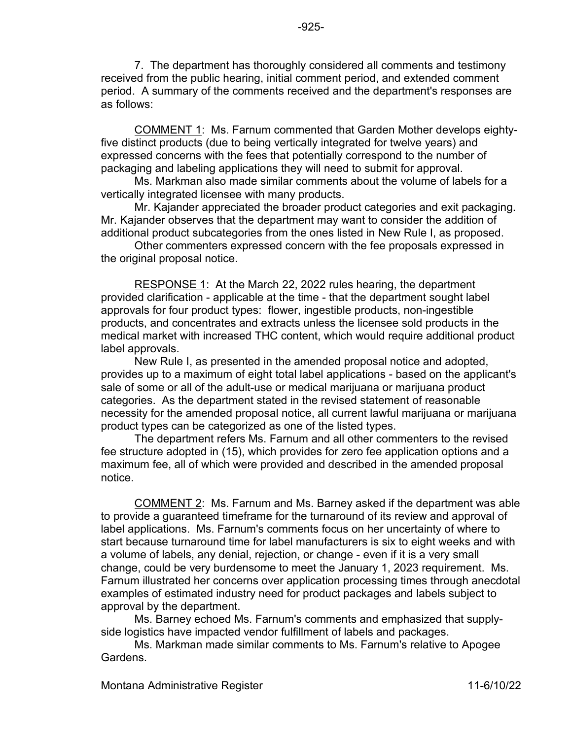7. The department has thoroughly considered all comments and testimony received from the public hearing, initial comment period, and extended comment period. A summary of the comments received and the department's responses are as follows:

-925-

COMMENT 1: Ms. Farnum commented that Garden Mother develops eightyfive distinct products (due to being vertically integrated for twelve years) and expressed concerns with the fees that potentially correspond to the number of packaging and labeling applications they will need to submit for approval.

Ms. Markman also made similar comments about the volume of labels for a vertically integrated licensee with many products.

Mr. Kajander appreciated the broader product categories and exit packaging. Mr. Kajander observes that the department may want to consider the addition of additional product subcategories from the ones listed in New Rule I, as proposed.

Other commenters expressed concern with the fee proposals expressed in the original proposal notice.

RESPONSE 1: At the March 22, 2022 rules hearing, the department provided clarification - applicable at the time - that the department sought label approvals for four product types: flower, ingestible products, non-ingestible products, and concentrates and extracts unless the licensee sold products in the medical market with increased THC content, which would require additional product label approvals.

New Rule I, as presented in the amended proposal notice and adopted, provides up to a maximum of eight total label applications - based on the applicant's sale of some or all of the adult-use or medical marijuana or marijuana product categories. As the department stated in the revised statement of reasonable necessity for the amended proposal notice, all current lawful marijuana or marijuana product types can be categorized as one of the listed types.

The department refers Ms. Farnum and all other commenters to the revised fee structure adopted in (15), which provides for zero fee application options and a maximum fee, all of which were provided and described in the amended proposal notice.

COMMENT 2: Ms. Farnum and Ms. Barney asked if the department was able to provide a guaranteed timeframe for the turnaround of its review and approval of label applications. Ms. Farnum's comments focus on her uncertainty of where to start because turnaround time for label manufacturers is six to eight weeks and with a volume of labels, any denial, rejection, or change - even if it is a very small change, could be very burdensome to meet the January 1, 2023 requirement. Ms. Farnum illustrated her concerns over application processing times through anecdotal examples of estimated industry need for product packages and labels subject to approval by the department.

Ms. Barney echoed Ms. Farnum's comments and emphasized that supplyside logistics have impacted vendor fulfillment of labels and packages.

Ms. Markman made similar comments to Ms. Farnum's relative to Apogee Gardens.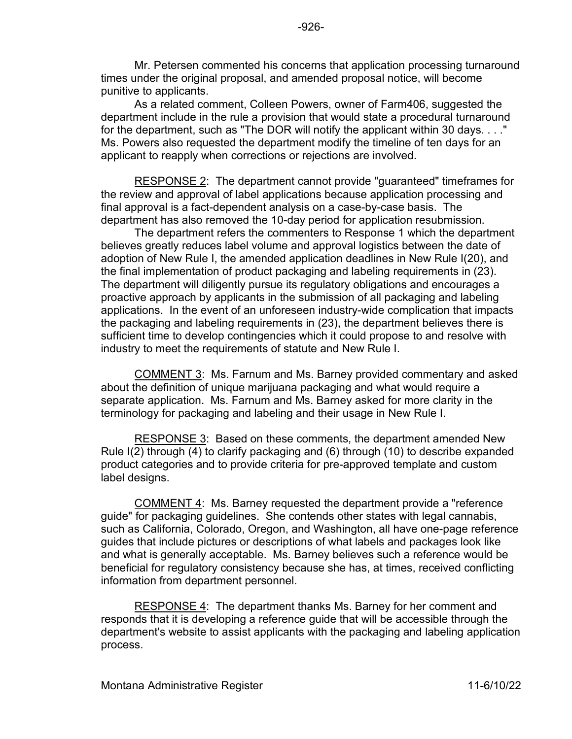Mr. Petersen commented his concerns that application processing turnaround times under the original proposal, and amended proposal notice, will become punitive to applicants.

As a related comment, Colleen Powers, owner of Farm406, suggested the department include in the rule a provision that would state a procedural turnaround for the department, such as "The DOR will notify the applicant within 30 days. . . ." Ms. Powers also requested the department modify the timeline of ten days for an applicant to reapply when corrections or rejections are involved.

RESPONSE 2: The department cannot provide "guaranteed" timeframes for the review and approval of label applications because application processing and final approval is a fact-dependent analysis on a case-by-case basis. The department has also removed the 10-day period for application resubmission.

The department refers the commenters to Response 1 which the department believes greatly reduces label volume and approval logistics between the date of adoption of New Rule I, the amended application deadlines in New Rule I(20), and the final implementation of product packaging and labeling requirements in (23). The department will diligently pursue its regulatory obligations and encourages a proactive approach by applicants in the submission of all packaging and labeling applications. In the event of an unforeseen industry-wide complication that impacts the packaging and labeling requirements in (23), the department believes there is sufficient time to develop contingencies which it could propose to and resolve with industry to meet the requirements of statute and New Rule I.

COMMENT 3: Ms. Farnum and Ms. Barney provided commentary and asked about the definition of unique marijuana packaging and what would require a separate application. Ms. Farnum and Ms. Barney asked for more clarity in the terminology for packaging and labeling and their usage in New Rule I.

RESPONSE 3: Based on these comments, the department amended New Rule I(2) through (4) to clarify packaging and (6) through (10) to describe expanded product categories and to provide criteria for pre-approved template and custom label designs.

COMMENT 4: Ms. Barney requested the department provide a "reference guide" for packaging guidelines. She contends other states with legal cannabis, such as California, Colorado, Oregon, and Washington, all have one-page reference guides that include pictures or descriptions of what labels and packages look like and what is generally acceptable. Ms. Barney believes such a reference would be beneficial for regulatory consistency because she has, at times, received conflicting information from department personnel.

RESPONSE 4: The department thanks Ms. Barney for her comment and responds that it is developing a reference guide that will be accessible through the department's website to assist applicants with the packaging and labeling application process.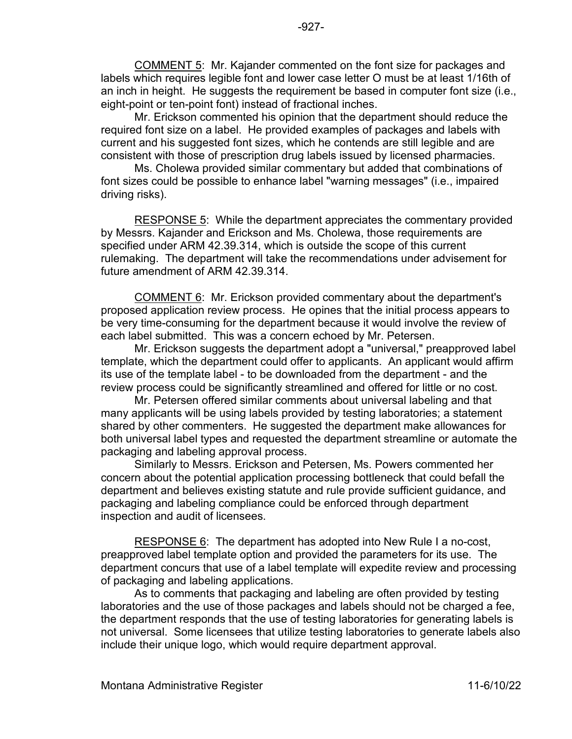COMMENT 5: Mr. Kajander commented on the font size for packages and labels which requires legible font and lower case letter O must be at least 1/16th of an inch in height. He suggests the requirement be based in computer font size (i.e., eight-point or ten-point font) instead of fractional inches.

Mr. Erickson commented his opinion that the department should reduce the required font size on a label. He provided examples of packages and labels with current and his suggested font sizes, which he contends are still legible and are consistent with those of prescription drug labels issued by licensed pharmacies.

Ms. Cholewa provided similar commentary but added that combinations of font sizes could be possible to enhance label "warning messages" (i.e., impaired driving risks).

RESPONSE 5: While the department appreciates the commentary provided by Messrs. Kajander and Erickson and Ms. Cholewa, those requirements are specified under ARM 42.39.314, which is outside the scope of this current rulemaking. The department will take the recommendations under advisement for future amendment of ARM 42.39.314.

COMMENT 6: Mr. Erickson provided commentary about the department's proposed application review process. He opines that the initial process appears to be very time-consuming for the department because it would involve the review of each label submitted. This was a concern echoed by Mr. Petersen.

Mr. Erickson suggests the department adopt a "universal," preapproved label template, which the department could offer to applicants. An applicant would affirm its use of the template label - to be downloaded from the department - and the review process could be significantly streamlined and offered for little or no cost.

Mr. Petersen offered similar comments about universal labeling and that many applicants will be using labels provided by testing laboratories; a statement shared by other commenters. He suggested the department make allowances for both universal label types and requested the department streamline or automate the packaging and labeling approval process.

Similarly to Messrs. Erickson and Petersen, Ms. Powers commented her concern about the potential application processing bottleneck that could befall the department and believes existing statute and rule provide sufficient guidance, and packaging and labeling compliance could be enforced through department inspection and audit of licensees.

RESPONSE 6: The department has adopted into New Rule I a no-cost, preapproved label template option and provided the parameters for its use. The department concurs that use of a label template will expedite review and processing of packaging and labeling applications.

As to comments that packaging and labeling are often provided by testing laboratories and the use of those packages and labels should not be charged a fee, the department responds that the use of testing laboratories for generating labels is not universal. Some licensees that utilize testing laboratories to generate labels also include their unique logo, which would require department approval.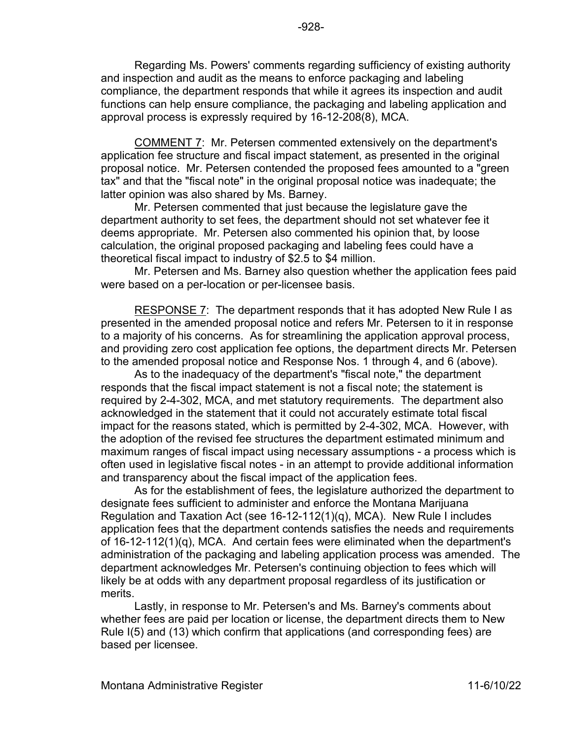Regarding Ms. Powers' comments regarding sufficiency of existing authority and inspection and audit as the means to enforce packaging and labeling compliance, the department responds that while it agrees its inspection and audit functions can help ensure compliance, the packaging and labeling application and approval process is expressly required by 16-12-208(8), MCA.

COMMENT 7: Mr. Petersen commented extensively on the department's application fee structure and fiscal impact statement, as presented in the original proposal notice. Mr. Petersen contended the proposed fees amounted to a "green tax" and that the "fiscal note" in the original proposal notice was inadequate; the latter opinion was also shared by Ms. Barney.

Mr. Petersen commented that just because the legislature gave the department authority to set fees, the department should not set whatever fee it deems appropriate. Mr. Petersen also commented his opinion that, by loose calculation, the original proposed packaging and labeling fees could have a theoretical fiscal impact to industry of \$2.5 to \$4 million.

Mr. Petersen and Ms. Barney also question whether the application fees paid were based on a per-location or per-licensee basis.

RESPONSE 7: The department responds that it has adopted New Rule I as presented in the amended proposal notice and refers Mr. Petersen to it in response to a majority of his concerns. As for streamlining the application approval process, and providing zero cost application fee options, the department directs Mr. Petersen to the amended proposal notice and Response Nos. 1 through 4, and 6 (above).

As to the inadequacy of the department's "fiscal note," the department responds that the fiscal impact statement is not a fiscal note; the statement is required by 2-4-302, MCA, and met statutory requirements. The department also acknowledged in the statement that it could not accurately estimate total fiscal impact for the reasons stated, which is permitted by 2-4-302, MCA. However, with the adoption of the revised fee structures the department estimated minimum and maximum ranges of fiscal impact using necessary assumptions - a process which is often used in legislative fiscal notes - in an attempt to provide additional information and transparency about the fiscal impact of the application fees.

As for the establishment of fees, the legislature authorized the department to designate fees sufficient to administer and enforce the Montana Marijuana Regulation and Taxation Act (see 16-12-112(1)(q), MCA). New Rule I includes application fees that the department contends satisfies the needs and requirements of 16-12-112(1)(q), MCA. And certain fees were eliminated when the department's administration of the packaging and labeling application process was amended. The department acknowledges Mr. Petersen's continuing objection to fees which will likely be at odds with any department proposal regardless of its justification or merits.

Lastly, in response to Mr. Petersen's and Ms. Barney's comments about whether fees are paid per location or license, the department directs them to New Rule I(5) and (13) which confirm that applications (and corresponding fees) are based per licensee.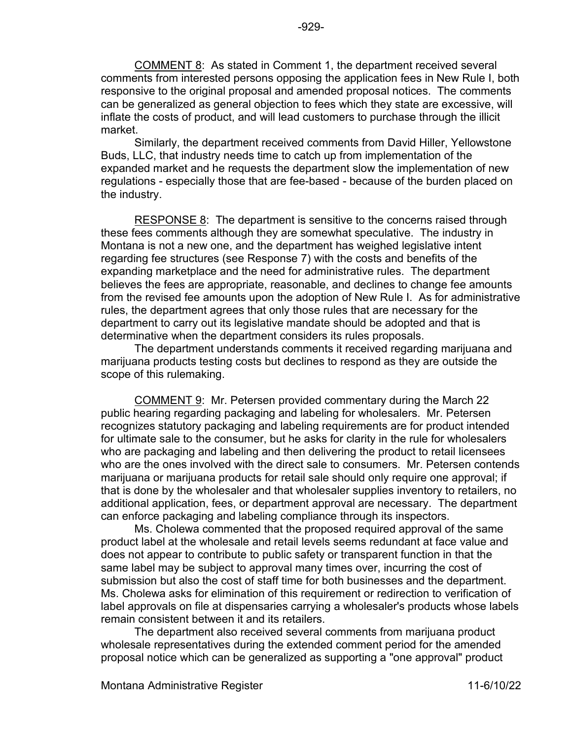COMMENT 8: As stated in Comment 1, the department received several comments from interested persons opposing the application fees in New Rule I, both responsive to the original proposal and amended proposal notices. The comments can be generalized as general objection to fees which they state are excessive, will inflate the costs of product, and will lead customers to purchase through the illicit market.

Similarly, the department received comments from David Hiller, Yellowstone Buds, LLC, that industry needs time to catch up from implementation of the expanded market and he requests the department slow the implementation of new regulations - especially those that are fee-based - because of the burden placed on the industry.

RESPONSE 8: The department is sensitive to the concerns raised through these fees comments although they are somewhat speculative. The industry in Montana is not a new one, and the department has weighed legislative intent regarding fee structures (see Response 7) with the costs and benefits of the expanding marketplace and the need for administrative rules. The department believes the fees are appropriate, reasonable, and declines to change fee amounts from the revised fee amounts upon the adoption of New Rule I. As for administrative rules, the department agrees that only those rules that are necessary for the department to carry out its legislative mandate should be adopted and that is determinative when the department considers its rules proposals.

The department understands comments it received regarding marijuana and marijuana products testing costs but declines to respond as they are outside the scope of this rulemaking.

COMMENT 9: Mr. Petersen provided commentary during the March 22 public hearing regarding packaging and labeling for wholesalers. Mr. Petersen recognizes statutory packaging and labeling requirements are for product intended for ultimate sale to the consumer, but he asks for clarity in the rule for wholesalers who are packaging and labeling and then delivering the product to retail licensees who are the ones involved with the direct sale to consumers. Mr. Petersen contends marijuana or marijuana products for retail sale should only require one approval; if that is done by the wholesaler and that wholesaler supplies inventory to retailers, no additional application, fees, or department approval are necessary. The department can enforce packaging and labeling compliance through its inspectors.

Ms. Cholewa commented that the proposed required approval of the same product label at the wholesale and retail levels seems redundant at face value and does not appear to contribute to public safety or transparent function in that the same label may be subject to approval many times over, incurring the cost of submission but also the cost of staff time for both businesses and the department. Ms. Cholewa asks for elimination of this requirement or redirection to verification of label approvals on file at dispensaries carrying a wholesaler's products whose labels remain consistent between it and its retailers.

The department also received several comments from marijuana product wholesale representatives during the extended comment period for the amended proposal notice which can be generalized as supporting a "one approval" product